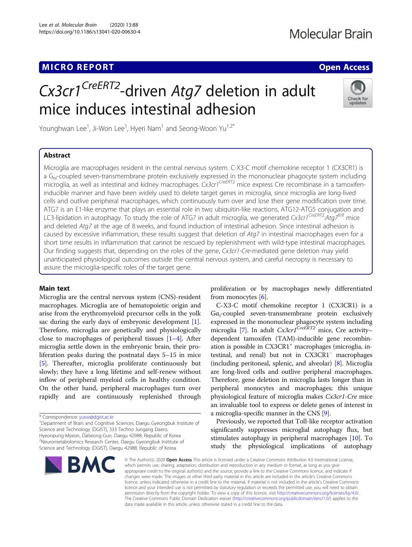# MICRO REPORT AND INTERNATIONAL CONTRACT OF THE SECOND ACCESS OPEN ACCESS

# Cx3cr1<sup>CreERT2</sup>-driven Atg7 deletion in adult mice induces intestinal adhesion



Younghwan Lee<sup>1</sup>, Ji-Won Lee<sup>1</sup>, Hyeri Nam<sup>1</sup> and Seong-Woon Yu<sup>1,2\*</sup>

## Abstract

Microglia are macrophages resident in the central nervous system. C-X3-C motif chemokine receptor 1 (CX3CR1) is a G<sub>ai</sub>-coupled seven-transmembrane protein exclusively expressed in the mononuclear phagocyte system including microglia, as well as intestinal and kidney macrophages. Cx3cr1<sup>CreERT2</sup> mice express Cre recombinase in a tamoxifeninducible manner and have been widely used to delete target genes in microglia, since microglia are long-lived cells and outlive peripheral macrophages, which continuously turn over and lose their gene modification over time. ATG7 is an E1-like enzyme that plays an essential role in two ubiquitin-like reactions, ATG12-ATG5 conjugation and LC3-lipidation in autophagy. To study the role of ATG7 in adult microglia, we generated Cx3cr1CreERT2:Atg7<sup>f/fl</sup> mice and deleted Atg7 at the age of 8 weeks, and found induction of intestinal adhesion. Since intestinal adhesion is caused by excessive inflammation, these results suggest that deletion of Atg7 in intestinal macrophages even for a short time results in inflammation that cannot be rescued by replenishment with wild-type intestinal macrophages. Our finding suggests that, depending on the roles of the gene, Cx3cr1-Cre-mediated gene deletion may yield unanticipated physiological outcomes outside the central nervous system, and careful necropsy is necessary to assure the microglia-specific roles of the target gene.

#### Main text

Microglia are the central nervous system (CNS)-resident macrophages. Microglia are of hematopoietic origin and arise from the erythromyeloid precursor cells in the yolk sac during the early days of embryonic development [\[1](#page-5-0)]. Therefore, microglia are genetically and physiologically close to macrophages of peripheral tissues  $[1-4]$  $[1-4]$  $[1-4]$ . After microglia settle down in the embryonic brain, their proliferation peaks during the postnatal days 5–15 in mice [[5\]](#page-5-0). Thereafter, microglia proliferate continuously but slowly; they have a long lifetime and self-renew without inflow of peripheral myeloid cells in healthy condition. On the other hand, peripheral macrophages turn over rapidly and are continuously replenished through

<sup>1</sup>Department of Brain and Cognitive Sciences, Daegu Gyeongbuk Institute of Science and Technology (DGIST), 333 Techno Jungang Daero, Hyeonpung-Myeon, Dalseong-Gun, Daegu 42988, Republic of Korea 2 Neurometabolomics Research Center, Daegu Gyeongbuk Institute of Science and Technology (DGIST), Daegu 42988, Republic of Korea

RA

proliferation or by macrophages newly differentiated from monocytes [[6\]](#page-5-0).

C-X3-C motif chemokine receptor 1 (CX3CR1) is a  $Ga<sub>i</sub>$ -coupled seven-transmembrane protein exclusively expressed in the mononuclear phagocyte system including microglia [\[7](#page-5-0)]. In adult  $Cx3cr1<sup>CreERT2</sup>$  mice, Cre activity– dependent tamoxifen (TAM)-inducible gene recombination is possible in CX3CR1<sup>+</sup> macrophages (microglia, intestinal, and renal) but not in CX3CR1<sup>−</sup> macrophages (including peritoneal, splenic, and alveolar) [[8\]](#page-5-0). Microglia are long-lived cells and outlive peripheral macrophages. Therefore, gene deletion in microglia lasts longer than in peripheral monocytes and macrophages; this unique physiological feature of microglia makes Cx3cr1-Cre mice an invaluable tool to express or delete genes of interest in a microglia-specific manner in the CNS [\[9](#page-5-0)].

Previously, we reported that Toll-like receptor activation significantly suppresses microglial autophagy flux, but stimulates autophagy in peripheral macrophages [[10](#page-5-0)]. To study the physiological implications of autophagy

© The Author(s). 2020 Open Access This article is licensed under a Creative Commons Attribution 4.0 International License, which permits use, sharing, adaptation, distribution and reproduction in any medium or format, as long as you give appropriate credit to the original author(s) and the source, provide a link to the Creative Commons licence, and indicate if changes were made. The images or other third party material in this article are included in the article's Creative Commons licence, unless indicated otherwise in a credit line to the material. If material is not included in the article's Creative Commons licence and your intended use is not permitted by statutory regulation or exceeds the permitted use, you will need to obtain permission directly from the copyright holder. To view a copy of this licence, visit [http://creativecommons.org/licenses/by/4.0/.](http://creativecommons.org/licenses/by/4.0/) The Creative Commons Public Domain Dedication waiver [\(http://creativecommons.org/publicdomain/zero/1.0/](http://creativecommons.org/publicdomain/zero/1.0/)) applies to the data made available in this article, unless otherwise stated in a credit line to the data.

<sup>\*</sup> Correspondence: [yusw@dgist.ac.kr](mailto:yusw@dgist.ac.kr) <sup>1</sup>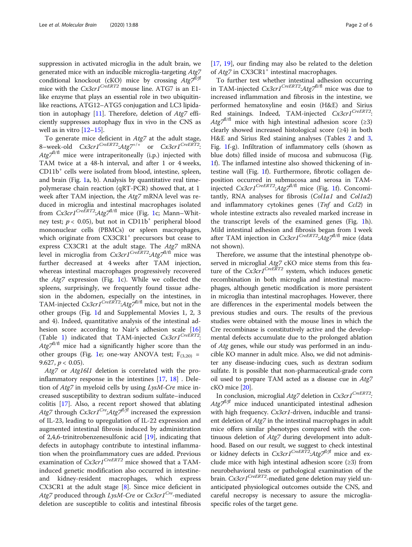suppression in activated microglia in the adult brain, we generated mice with an inducible microglia-targeting Atg7 conditional knockout (cKO) mice by crossing  $Atg7^{1/f}$ mice with the  $Cx3cr1^{CreERT2}$  mouse line. ATG7 is an E1like enzyme that plays an essential role in two ubiquitinlike reactions, ATG12–ATG5 conjugation and LC3 lipida-tion in autophagy [[11\]](#page-5-0). Therefore, deletion of  $Atg7$  efficiently suppresses autophagy flux in vivo in the CNS as well as in vitro  $[12-15]$  $[12-15]$  $[12-15]$  $[12-15]$ .

To generate mice deficient in Atg7 at the adult stage, 8-week-old  $Cx3cr1^{CreERT2}:Atg7^{+/+}$  or  $Cx3cr1^{CreERT2}:$  $Atg7^{1/fl}$  mice were intraperitoneally (i.p.) injected with TAM twice at a 48-h interval, and after 1 or 4 weeks, CD11b<sup>+</sup> cells were isolated from blood, intestine, spleen, and brain (Fig. [1](#page-3-0)a, b). Analysis by quantitative real timepolymerase chain reaction (qRT-PCR) showed that, at 1 week after TAM injection, the Atg7 mRNA level was reduced in microglia and intestinal macrophages isolated from  $Cx3cr1^{CreERT2}$ : $Atg7^{fl/fl}$  mice (Fig. [1c](#page-3-0); Mann–Whitney test;  $p < 0.05$ ), but not in CD11b<sup>+</sup> peripheral blood mononuclear cells (PBMCs) or spleen macrophages, which originate from  $CX3CRI<sup>+</sup>$  precursors but cease to express CX3CR1 at the adult stage. The Atg7 mRNA level in microglia from  $Cx3cr1^{CreERT2}$ : $Atg7^{fl/fl}$  mice was further decreased at 4 weeks after TAM injection, whereas intestinal macrophages progressively recovered the Atg7 expression (Fig. [1c](#page-3-0)). While we collected the spleens, surprisingly, we frequently found tissue adhesion in the abdomen, especially on the intestines, in TAM-injected  $Cx3cr1^{CreERT2}$ : $Atg7^{fl/f}$  mice, but not in the other groups (Fig. [1](#page-3-0)d and Supplemental Movies 1, 2, 3 and 4). Indeed, quantitative analysis of the intestinal ad-hesion score according to Nair's adhesion scale [[16](#page-5-0)] (Table [1\)](#page-3-0) indicated that TAM-injected  $Cx3cr1<sup>CreERT2</sup>$ :  $Atg7<sup>f1/f1</sup>$  mice had a significantly higher score than the other groups (Fig. [1](#page-3-0)e; one-way ANOVA test;  $F_{(3,20)}$  = 9.627,  $p < 0.05$ ).

Atg7 or Atg16l1 deletion is correlated with the proinflammatory response in the intestines [[17](#page-5-0), [18](#page-5-0)] . Deletion of Atg7 in myeloid cells by using LysM-Cre mice increased susceptibility to dextran sodium sulfate–induced colitis [[17](#page-5-0)]. Also, a recent report showed that ablating Atg7 through  $Cx3cr1^{Cre}$ ;Atg7<sup> $\ell$ /fl</sup> increased the expression of IL-23, leading to upregulation of IL-22 expression and augmented intestinal fibrosis induced by administration of 2,4,6-trinitrobenzenesulfonic acid [\[19\]](#page-5-0), indicating that defects in autophagy contribute to intestinal inflammation when the proinflammatory cues are added. Previous examination of  $Cx3cr1^{CreERT2}$  mice showed that a TAMinduced genetic modification also occurred in intestineand kidney-resident macrophages, which express CX3CR1 at the adult stage [[8\]](#page-5-0). Since mice deficient in Atg7 produced through LysM-Cre or  $Cx3cr1^{Cre}$ -mediated deletion are susceptible to colitis and intestinal fibrosis [[17,](#page-5-0) [19](#page-5-0)], our finding may also be related to the deletion of Atg7 in CX3CR1<sup>+</sup> intestinal macrophages.

To further test whether intestinal adhesion occurring in TAM-injected  $Cx3cr1^{CreERT2}$ : $Atq7^{fl/fl}$  mice was due to increased inflammation and fibrosis in the intestine, we performed hematoxyline and eosin (H&E) and Sirius Red stainings. Indeed, TAM-injected Cx3cr1CreERT2:  $Atg7^{1/fl}$  mice with high intestinal adhesion score (≥3) clearly showed increased histological score (≥4) in both H&E and Sirius Red staining analyses (Tables [2](#page-3-0) and [3](#page-4-0), Fig. [1](#page-3-0)f-g). Infiltration of inflammatory cells (shown as blue dots) filled inside of mucosa and submucosa (Fig. [1f](#page-3-0)). The inflamed intestine also showed thickening of intestine wall (Fig. [1](#page-3-0)f). Furthermore, fibrotic collagen deposition occurred in submucosa and serosa in TAMinjected  $Cx3cr1^{CreERT2}$ : $Atg7^{fl/fl}$  mice (Fig. [1f](#page-3-0)). Concomitantly, RNA analyses for fibrosis (Col1a1 and Col1a2) and inflammatory cytokines genes (Tnf and Ccl2) in whole intestine extracts also revealed marked increase in the transcript levels of the examined genes (Fig. [1h](#page-3-0)). Mild intestinal adhesion and fibrosis began from 1 week after TAM injection in  $Cx3cr1^{CreERT2}$ : $Atg7^{fl/fl}$  mice (data not shown).

Therefore, we assume that the intestinal phenotype observed in microglial Atg7 cKO mice stems from this feature of the  $Cx3cr1^{CreERT2}$  system, which induces genetic recombination in both microglia and intestinal macrophages, although genetic modification is more persistent in microglia than intestinal macrophages. However, there are differences in the experimental models between the previous studies and ours. The results of the previous studies were obtained with the mouse lines in which the Cre recombinase is constitutively active and the developmental defects accumulate due to the prolonged ablation of Atg genes, while our study was performed in an inducible KO manner in adult mice. Also, we did not administer any disease-inducing cues, such as dextran sodium sulfate. It is possible that non-pharmaceutical-grade corn oil used to prepare TAM acted as a disease cue in Atg7 cKO mice [[20](#page-5-0)].

In conclusion, microglial  $Atg7$  deletion in  $Cx3cr1^{CreERT2}$ :  $Atg\mathcal{I}^{1/f}$  mice induced unanticipated intestinal adhesion with high frequency. Cx3cr1-driven, inducible and transient deletion of *Atg7* in the intestinal macrophages in adult mice offers similar phenotypes compared with the continuous deletion of Atg7 during development into adulthood. Based on our result, we suggest to check intestinal or kidney defects in  $Cx3cr1^{CreER\bar{T}2}$ :  $Atg7^{1/fl}$  mice and exclude mice with high intestinal adhesion score  $(≥3)$  from neurobehavioral tests or pathological examination of the brain. Cx3cr1<sup>CreERT2</sup>-mediated gene deletion may yield unanticipated physiological outcomes outside the CNS, and careful necropsy is necessary to assure the microgliaspecific roles of the target gene.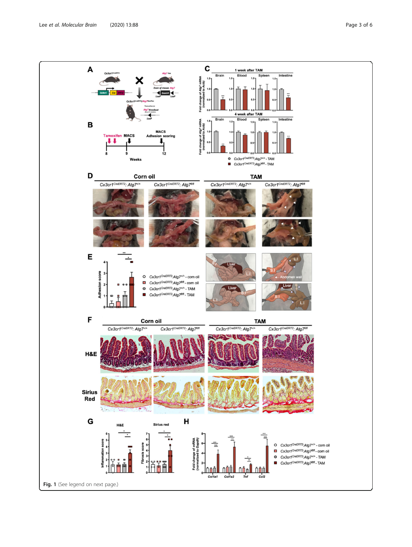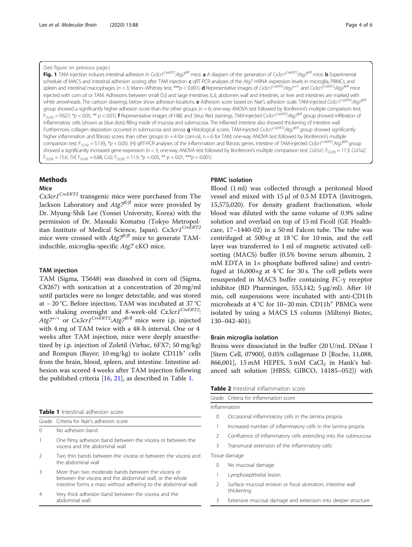#### <span id="page-3-0"></span>(See figure on previous page.)

Fig. 1 TAM injection induces intestinal adhesion in Cx3cr1<sup>CreERT2</sup>:Ata7<sup>f/fl</sup> mice. a A diagram of the generation of Cx3cr1<sup>CreERT2</sup>:Ata7<sup>f/fl</sup> mice. b Experimental schedule of MACS and intestinal adhesion scoring after TAM injection. c gRT-PCR analyses of the Atg7 mRNA expression levels in microglia, PBMCs, and spleen and intestinal macrophages (n = 3; Mann–Whitney test, \*\*\*p < 0.001). **d** Representative images of Cx3cr1<sup>CreERT2</sup>:Atg7<sup>+/+</sup> and Cx3cr1<sup>CreERT2</sup>:Atg7<sup>#/#</sup> mice injected with corn oil or TAM. Adhesions between small (S.I) and large intestines (L.I), abdomen wall and intestines, or liver and intestines are marked with white arrowheads. The cartoon drawings below show adhesion locations. **e** Adhesion score based on Nair's adhesion scale. TAM-injected Cx3cr1<sup>CreERT2</sup>:Ata7<sup>0/17</sup> group showed a significantly higher adhesion score than the other groups ( $n = 6$ ; one-way ANOVA test followed by Bonferroni's multiple comparison test;  $F_{(3,20)} = 9.627$ , \*p < 0.05, \*\* p < 0.01). **f** Representative images of H&E and Sirius Red stainings. TAM-injected Cx3cr1<sup>CreERT2</sup>:Atg7<sup>0/17</sup> group showed infiltration of inflammatory cells (shown as blue dots) filling inside of mucosa and submucosa. The inflamed intestine also showed thickening of intestine wall. Furthermore, collagen deposition occurred in submucosa and serosa. **g** Histological scores. TAM-injected Cx3cr1<sup>CreERT2</sup>:Atg7<sup>0/fl</sup> group showed significantly higher inflammation and fibrosis scores than other groups ( $n = 4$  for corn-oil,  $n = 6$  for TAM; one-way ANOVA test followed by Bonferroni's multiple comparison test; F<sub>(3,16)</sub> = 5.139,, \*p < 0.05). (H) qRT-PCR analyses of the inflammation and fibrosis genes. Intestine of TAM-injected Cx3cr1<sup>CreERT2</sup>:Atg7<sup>f/fl</sup> group showed a significantly increased gene expression (n = 3; one-way ANOVA test followed by Bonferroni's multiple comparison test; Col1a1, F<sub>(3,20)</sub> = 11.3; Col1a2,  $F_{(3,20)} = 15.6$ ; Tnf,  $F_{(3,20)} = 6.88$ , Ccl2,  $F_{(3,20)} = 11.9$ , \*p < 0.05, \*\* p < 0.01, \*\*\* p < 0.001)

#### Methods

#### Mice

 $Cx3cr1^{CreERT2}$  transgenic mice were purchased from The Jackson Laboratory and  $Atg\bar{z}^{\beta\beta\beta}$  mice were provided by Dr. Myung-Shik Lee (Yonsei University, Korea) with the permission of Dr. Massaki Komatsu (Tokyo Metropolitan Institute of Medical Science, Japan). Cx3cr1<sup>CreERT2</sup> mice were crossed with  $Atg\bar{z}^{\beta\beta}$  mice to generate TAMinducible, microglia-specific Atg7 cKO mice.

#### TAM injection

TAM (Sigma, T5648) was dissolved in corn oil (Sigma, C8267) with sonication at a concentration of 20 mg/ml until particles were no longer detectable, and was stored at − 20 °C. Before injection, TAM was incubated at 37 °C with shaking overnight and 8-week-old  $Cx3cr1^{CreERT2}$ :  $Atg7^{+/+}$  or  $Cx3cr1^{CreERT2}:Atg7^{fl/f1}$  mice were i.p. injected with 4 mg of TAM twice with a 48-h interval. One or 4 weeks after TAM injection, mice were deeply anaesthetized by i.p. injection of Zoletil (Virbac, 6FX7; 50 mg/kg) and Rompun (Bayer; 10 mg/kg) to isolate  $CD11b^+$  cells from the brain, blood, spleen, and intestine. Intestine adhesion was scored 4 weeks after TAM injection following the published criteria [[16,](#page-5-0) [21\]](#page-5-0), as described in Table 1.

#### Table 1 Intestinal adhesion score

abdominal wall

|                | Grade Criteria for Nair's adhesion score                                                                                                                                         |
|----------------|----------------------------------------------------------------------------------------------------------------------------------------------------------------------------------|
| $\Omega$       | No adhesion band                                                                                                                                                                 |
|                | One filmy adhesion band between the viscera or between the<br>viscera and the abdominal wall                                                                                     |
| $\mathcal{L}$  | Two thin bands between the viscera or between the viscera and<br>the abdominal wall                                                                                              |
|                | More than two moderate bands between the viscera or<br>between the viscera and the abdominal wall, or the whole<br>intestine forms a mass without adhering to the abdominal wall |
| $\overline{4}$ | Very thick adhesion band between the viscera and the                                                                                                                             |

#### PBMC isolation

Blood (1 ml) was collected through a peritoneal blood vessel and mixed with 15 μl of 0.5 M EDTA (Invitrogen, 15,575,020). For density gradient fractionation, whole blood was diluted with the same volume of 0.9% saline solution and overlaid on top of 15 ml Ficoll (GE Healthcare, 17–1440-02) in a 50 ml Falcon tube. The tube was centrifuged at  $500 \times g$  at  $18\degree C$  for 10 min, and the cell layer was transferred to 1 ml of magnetic activated cellsorting (MACS) buffer (0.5% bovine serum albumin, 2 mM EDTA in 1× phosphate buffered saline) and centrifuged at  $16,000 \times g$  at  $4^{\circ}$ C for 30 s. The cell pellets were resuspended in MACS buffer containing FC-γ receptor inhibitor (BD Pharmingen, 553,142; 5 μg/ml). After 10 min, cell suspensions were incubated with anti-CD11b microbeads at 4 °C for 10–20 min. CD11b<sup>+</sup> PBMCs were isolated by using a MACS LS column (Miltenyi Biotec, 130–042-401).

#### Brain microglia isolation

Brains were dissociated in the buffer (20 U/mL DNase I [Stem Cell, 07900], 0.05% collagenase D [Roche, 11,088, 866,001], 15 mM HEPES, 5 mM  $CaCl<sub>2</sub>$  in Hank's balanced salt solution [HBSS; GIBCO, 14185–052]) with

|               | Grade Criteria for inflammation score                                     |  |  |
|---------------|---------------------------------------------------------------------------|--|--|
| Inflammation  |                                                                           |  |  |
| 0             | Occasional inflammatory cells in the lamina propria                       |  |  |
| 1             | Increased number of inflammatory cells in the lamina propria              |  |  |
| $\mathcal{P}$ | Confluence of inflammatory cells extending into the submucosa             |  |  |
| 3             | Transmural extension of the inflammatory cells                            |  |  |
| Tissue damage |                                                                           |  |  |
| $\Omega$      | No mucosal damage                                                         |  |  |
| 1             | Lymphoepithelial lesion                                                   |  |  |
| $\mathcal{P}$ | Surface mucosal erosion or focal ulceration, intestine wall<br>thickening |  |  |
|               |                                                                           |  |  |

3 Extensive mucosal damage and extension into deeper structure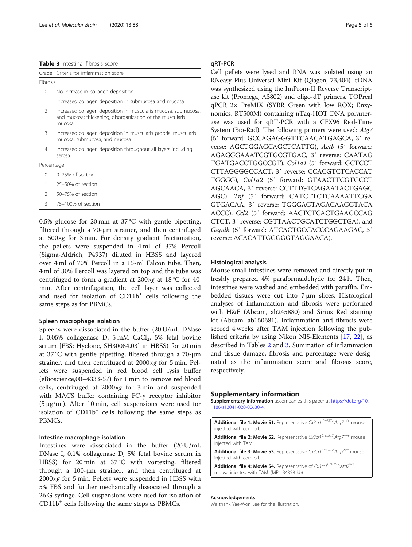<span id="page-4-0"></span>

| <b>Table 3</b> Intestinal fibrosis score |  |  |
|------------------------------------------|--|--|
|------------------------------------------|--|--|

|               | Grade Criteria for inflammation score                                                                                                  |  |  |  |
|---------------|----------------------------------------------------------------------------------------------------------------------------------------|--|--|--|
| Fibrosis      |                                                                                                                                        |  |  |  |
| 0             | No increase in collagen deposition                                                                                                     |  |  |  |
| 1             | Increased collagen deposition in submucosa and mucosa                                                                                  |  |  |  |
| $\mathcal{P}$ | Increased collagen deposition in muscularis mucosa, submucosa,<br>and mucosa; thickening, disorganization of the muscularis<br>mucosa. |  |  |  |
| 3             | Increased collagen deposition in muscularis propria, muscularis<br>mucosa, submucosa, and mucosa                                       |  |  |  |

Increased collagen deposition throughout all layers including serosa

Percentage

- 0 0–25% of section
- 1 25–50% of section
- 2 50–75% of section
- 3 75–100% of section

0.5% glucose for 20 min at 37 °C with gentle pipetting, filtered through a 70-μm strainer, and then centrifuged at 500×g for 3 min. For density gradient fractionation, the pellets were suspended in 4 ml of 37% Percoll (Sigma-Aldrich, P4937) diluted in HBSS and layered over 4 ml of 70% Percoll in a 15-ml Falcon tube. Then, 4 ml of 30% Percoll was layered on top and the tube was centrifuged to form a gradient at 200×g at 18 °C for 40 min. After centrifugation, the cell layer was collected and used for isolation of CD11b<sup>+</sup> cells following the same steps as for PBMCs.

#### Spleen macrophage isolation

Spleens were dissociated in the buffer (20 U/mL DNase I,  $0.05\%$  collagenase D,  $5 \text{ mM }$  CaCl<sub>2</sub>,  $5\%$  fetal bovine serum [FBS; Hyclone, SH30084.03] in HBSS) for 20 min at 37 °C with gentle pipetting, filtered through a 70-μm strainer, and then centrifuged at 2000×g for 5 min. Pellets were suspended in red blood cell lysis buffer (eBioscience,00–4333-57) for 1 min to remove red blood cells, centrifuged at 2000×g for 3 min and suspended with MACS buffer containing FC-γ receptor inhibitor (5 μg/ml). After 10 min, cell suspensions were used for isolation of  $CD11b<sup>+</sup>$  cells following the same steps as PBMCs.

#### Intestine macrophage isolation

Intestines were dissociated in the buffer (20 U/mL DNase I, 0.1% collagenase D, 5% fetal bovine serum in HBSS) for 20 min at 37 °C with vortexing, filtered through a 100-μm strainer, and then centrifuged at 2000×g for 5 min. Pellets were suspended in HBSS with 5% FBS and further mechanically dissociated through a 26 G syringe. Cell suspensions were used for isolation of  $CD11b<sup>+</sup>$  cells following the same steps as PBMCs.

#### qRT-PCR

Cell pellets were lysed and RNA was isolated using an RNeasy Plus Universal Mini Kit (Qiagen, 73,404). cDNA was synthesized using the ImProm-II Reverse Transcriptase kit (Promega, A3802) and oligo-dT primers. TOPreal qPCR 2× PreMIX (SYBR Green with low ROX; Enzynomics, RT500M) containing nTaq-HOT DNA polymerase was used for qRT-PCR with a CFX96 Real-Time System (Bio-Rad). The following primers were used: Atg7 (5′ forward: GCCAGAGGGTTCAACATGAGCA, 3′ reverse: AGCTGGAGCAGCTCATTG), Actb (5' forward: AGAGGGAAATCGTGCGTGAC, 3′ reverse: CAATAG TGATGACCTGGCCGT), Col1a1 (5′ forward: GCTCCT CTTAGGGGCCACT, 3′ reverse: CCACGTCTCACCAT TGGGG), Col1a2 (5′ forward: GTAACTTCGTGCCT AGCAACA, 3′ reverse: CCTTTGTCAGAATACTGAGC AGC), Tnf (5′ forward: CATCTTCTCAAAATTCGA GTGACAA, 3′ reverse: TGGGAGTAGACAAGGTACA ACCC), Ccl2 (5′ forward: AACTCTCACTGAAGCCAG CTCT, 3′ reverse: CGTTAACTGCATCTGGCTGA), and Gapdh (5′ forward: ATCACTGCCACCCAGAAGAC, 3′ reverse: ACACATTGGGGGTAGGAACA).

#### Histological analysis

Mouse small intestines were removed and directly put in freshly prepared 4% paraformaldehyde for 24 h. Then, intestines were washed and embedded with paraffin. Embedded tissues were cut into 7 μm slices. Histological analyses of inflammation and fibrosis were performed with H&E (Abcam, ab245880) and Sirius Red staining kit (Abcam, ab150681). Inflammation and fibrosis were scored 4 weeks after TAM injection following the published criteria by using Nikon NIS-Elements [[17,](#page-5-0) [22](#page-5-0)], as described in Tables [2](#page-3-0) and 3. Summation of inflammation and tissue damage, fibrosis and percentage were designated as the inflammation score and fibrosis score, respectively.

#### Supplementary information

Supplementary information accompanies this paper at [https://doi.org/10.](https://doi.org/10.1186/s13041-020-00630-4) [1186/s13041-020-00630-4](https://doi.org/10.1186/s13041-020-00630-4).

Additional file 1: Movie S1. Representative Cx3cr1CreERT2:Atg7<sup>+/+</sup> mouse injected with corn oil.

Additional file 2: Movie S2. Representative  $Cx3cr1^{CreERT2}.Atq7^{+/+}$  mouse injected with TAM.

Additional file 3: Movie S3. Representative Cx3cr1<sup>CreERT2</sup>:Atg7<sup>f/fl</sup> mouse injected with corn oil.

Additional file 4: Movie S4. Representative of Cx3cr1CreERT2:Atg7<sup>f/fl</sup> mouse injected with TAM. (MP4 34858 kb)

#### Acknowledgements

We thank Yae-Won Lee for the illustration.